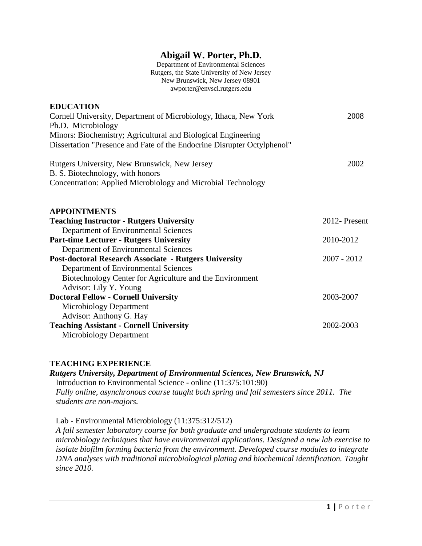# **Abigail W. Porter, Ph.D.**

Department of Environmental Sciences Rutgers, the State University of New Jersey New Brunswick, New Jersey 08901 awporter@envsci.rutgers.edu

| <b>EDUCATION</b><br>Cornell University, Department of Microbiology, Ithaca, New York | 2008          |
|--------------------------------------------------------------------------------------|---------------|
| Ph.D. Microbiology                                                                   |               |
| Minors: Biochemistry; Agricultural and Biological Engineering                        |               |
| Dissertation "Presence and Fate of the Endocrine Disrupter Octylphenol"              |               |
| Rutgers University, New Brunswick, New Jersey                                        | 2002          |
| B. S. Biotechnology, with honors                                                     |               |
| Concentration: Applied Microbiology and Microbial Technology                         |               |
|                                                                                      |               |
| <b>APPOINTMENTS</b>                                                                  |               |
| <b>Teaching Instructor - Rutgers University</b>                                      | 2012- Present |
| Department of Environmental Sciences                                                 |               |
| <b>Part-time Lecturer - Rutgers University</b>                                       | 2010-2012     |
| Department of Environmental Sciences                                                 |               |
| <b>Post-doctoral Research Associate - Rutgers University</b>                         | $2007 - 2012$ |
| Department of Environmental Sciences                                                 |               |
| Biotechnology Center for Agriculture and the Environment                             |               |
| Advisor: Lily Y. Young                                                               |               |
| <b>Doctoral Fellow - Cornell University</b>                                          | 2003-2007     |
| <b>Microbiology Department</b>                                                       |               |
| Advisor: Anthony G. Hay                                                              |               |
| <b>Teaching Assistant - Cornell University</b>                                       | 2002-2003     |
| Microbiology Department                                                              |               |

#### **TEACHING EXPERIENCE**

*Rutgers University, Department of Environmental Sciences, New Brunswick, NJ* Introduction to Environmental Science - online (11:375:101:90) *Fully online, asynchronous course taught both spring and fall semesters since 2011. The students are non-majors.*

Lab - Environmental Microbiology (11:375:312/512)

*A fall semester laboratory course for both graduate and undergraduate students to learn microbiology techniques that have environmental applications. Designed a new lab exercise to isolate biofilm forming bacteria from the environment. Developed course modules to integrate DNA analyses with traditional microbiological plating and biochemical identification. Taught since 2010.*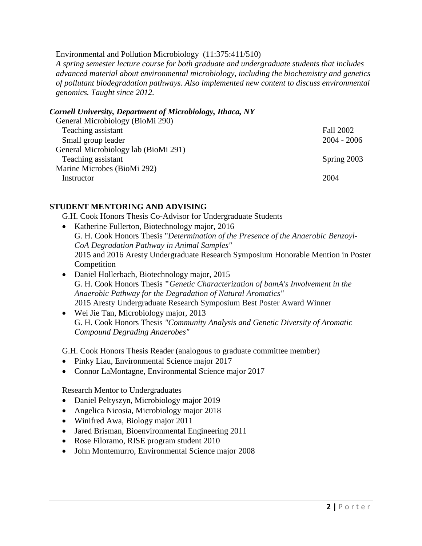#### Environmental and Pollution Microbiology (11:375:411/510)

*A spring semester lecture course for both graduate and undergraduate students that includes advanced material about environmental microbiology, including the biochemistry and genetics of pollutant biodegradation pathways. Also implemented new content to discuss environmental genomics. Taught since 2012.*

### *Cornell University, Department of Microbiology, Ithaca, NY*

| General Microbiology (BioMi 290)     |               |
|--------------------------------------|---------------|
| Teaching assistant                   | Fall 2002     |
| Small group leader                   | $2004 - 2006$ |
| General Microbiology lab (BioMi 291) |               |
| Teaching assistant                   | Spring 2003   |
| Marine Microbes (BioMi 292)          |               |
| Instructor                           | 2004          |
|                                      |               |

#### **STUDENT MENTORING AND ADVISING**

G.H. Cook Honors Thesis Co-Advisor for Undergraduate Students

- Katherine Fullerton, Biotechnology major, 2016 G. H. Cook Honors Thesis "*Determination of the Presence of the Anaerobic Benzoyl-CoA Degradation Pathway in Animal Samples"* 2015 and 2016 Aresty Undergraduate Research Symposium Honorable Mention in Poster Competition
- Daniel Hollerbach, Biotechnology major, 2015 G. H. Cook Honors Thesis **"***Genetic Characterization of bamA's Involvement in the Anaerobic Pathway for the Degradation of Natural Aromatics"* 2015 Aresty Undergraduate Research Symposium Best Poster Award Winner
- Wei Jie Tan, Microbiology major, 2013 G. H. Cook Honors Thesis *"Community Analysis and Genetic Diversity of Aromatic Compound Degrading Anaerobes"*

G.H. Cook Honors Thesis Reader (analogous to graduate committee member)

- Pinky Liau, Environmental Science major 2017
- Connor LaMontagne, Environmental Science major 2017

Research Mentor to Undergraduates

- Daniel Peltyszyn, Microbiology major 2019
- Angelica Nicosia, Microbiology major 2018
- Winifred Awa, Biology major 2011
- Jared Brisman, Bioenvironmental Engineering 2011
- Rose Filoramo, RISE program student 2010
- John Montemurro, Environmental Science major 2008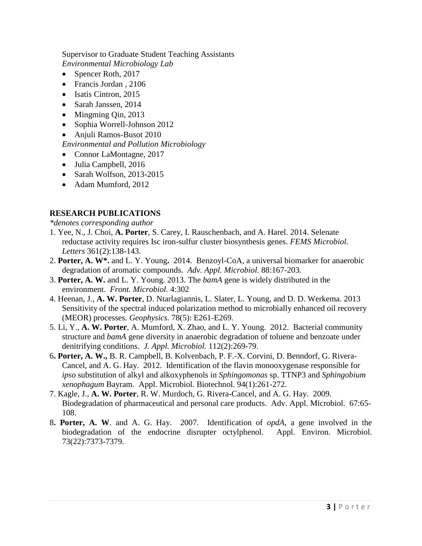Supervisor to Graduate Student Teaching Assistants *Environmental Microbiology Lab*

- Spencer Roth, 2017
- Francis Jordan , 2106
- Isatis Cintron, 2015
- Sarah Janssen, 2014
- Mingming Qin, 2013
- Sophia Worrell-Johnson 2012
- Anjuli Ramos-Busot 2010

*Environmental and Pollution Microbiology*

- Connor LaMontagne, 2017
- Julia Campbell, 2016
- Sarah Wolfson, 2013-2015
- Adam Mumford, 2012

## **RESEARCH PUBLICATIONS**

*\*denotes corresponding author*

- 1. Yee, N., J. Choi, **A. Porter**, S. Carey, I. Rauschenbach, and A. Harel. 2014. Selenate reductase activity requires Isc iron-sulfur cluster biosynthesis genes. *FEMS Microbiol. Letters* 361(2):138-143.
- 2. **Porter, A. W\*.** and L. Y. Young**.** 2014.Benzoyl-CoA, a universal biomarker for anaerobic degradation of aromatic compounds. *Adv. Appl. Microbiol.* 88:167-203*.*
- 3. **Porter, A. W.** and L. Y. Young. 2013. The *bamA* gene is widely distributed in the environment. *Front. Microbiol.* 4:302
- 4. Heenan, J., **A. W. Porter**, D. Ntarlagiannis, L. Slater, L. Young, and D. D. Werkema. 2013 Sensitivity of the spectral induced polarization method to microbially enhanced oil recovery (MEOR) processes. *Geophysics.* 78(5): E261-E269.
- 5. Li, Y., **A. W. Porter**, A. Mumford, X. Zhao, and L. Y. Young. 2012. Bacterial community structure and *bamA* gene diversity in anaerobic degradation of toluene and benzoate under denitrifying conditions. *J. Appl. Microbiol.* 112(2):269-79.
- 6**. Porter, A. W.,** B. R. Campbell, B. Kolvenbach, P. F.-X. Corvini, D. Benndorf, G. Rivera-Cancel, and A. G. Hay. 2012. Identification of the flavin monooxygenase responsible for *ipso* substitution of alkyl and alkoxyphenols in *Sphingomonas* sp. TTNP3 and *Sphingobium xenophagum* Bayram. Appl. Microbiol*.* Biotechnol. 94(1):261-272.
- 7. Kagle, J., **A. W. Porter**, R. W. Murdoch, G. Rivera-Cancel, and A. G. Hay. 2009. Biodegradation of pharmaceutical and personal care products. Adv. Appl. Microbiol. 67:65- 108.
- 8**. Porter, A. W**. and A. G. Hay. 2007. Identification of *opdA*, a gene involved in the biodegradation of the endocrine disrupter octylphenol. Appl. Environ. Microbiol. 73(22):7373-7379.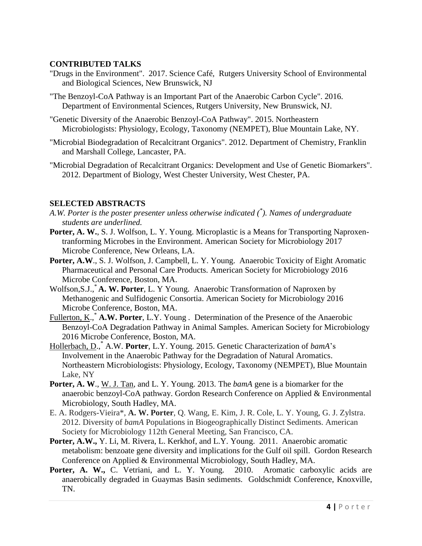### **CONTRIBUTED TALKS**

- "Drugs in the Environment". 2017. Science Café, Rutgers University School of Environmental and Biological Sciences, New Brunswick, NJ
- "The Benzoyl-CoA Pathway is an Important Part of the Anaerobic Carbon Cycle". 2016. Department of Environmental Sciences, Rutgers University, New Brunswick, NJ.
- "Genetic Diversity of the Anaerobic Benzoyl-CoA Pathway". 2015. Northeastern Microbiologists: Physiology, Ecology, Taxonomy (NEMPET), Blue Mountain Lake, NY.
- "Microbial Biodegradation of Recalcitrant Organics". 2012. Department of Chemistry, Franklin and Marshall College, Lancaster, PA.
- "Microbial Degradation of Recalcitrant Organics: Development and Use of Genetic Biomarkers". 2012. Department of Biology, West Chester University, West Chester, PA.

## **SELECTED ABSTRACTS**

- *A.W. Porter is the poster presenter unless otherwise indicated (\* ). Names of undergraduate students are underlined.*
- Porter, A. W., S. J. Wolfson, L. Y. Young. Microplastic is a Means for Transporting Naproxentranforming Microbes in the Environment. American Society for Microbiology 2017 Microbe Conference, New Orleans, LA.
- Porter, A.W., S. J. Wolfson, J. Campbell, L. Y. Young. Anaerobic Toxicity of Eight Aromatic Pharmaceutical and Personal Care Products. American Society for Microbiology 2016 Microbe Conference, Boston, MA.
- Wolfson,S.J.,\* **A. W. Porter**, L. Y Young. Anaerobic Transformation of Naproxen by Methanogenic and Sulfidogenic Consortia. American Society for Microbiology 2016 Microbe Conference, Boston, MA.
- Fullerton, K.,<sup>\*</sup> A.W. Porter, L.Y. Young . Determination of the Presence of the Anaerobic Benzoyl-CoA Degradation Pathway in Animal Samples. American Society for Microbiology 2016 Microbe Conference, Boston, MA.
- Hollerbach, D., \* A.W. **Porter**, L.Y. Young. 2015. Genetic Characterization of *bamA*'s Involvement in the Anaerobic Pathway for the Degradation of Natural Aromatics. Northeastern Microbiologists: Physiology, Ecology, Taxonomy (NEMPET), Blue Mountain Lake, NY
- **Porter, A. W**., W. J. Tan, and L. Y. Young. 2013. The *bamA* gene is a biomarker for the anaerobic benzoyl-CoA pathway. Gordon Research Conference on Applied & Environmental Microbiology, South Hadley, MA.
- E. A. Rodgers-Vieira\*, **A. W. Porter**, Q. Wang, E. Kim, J. R. Cole, L. Y. Young, G. J. Zylstra. 2012. Diversity of *bamA* Populations in Biogeographically Distinct Sediments. American Society for Microbiology 112th General Meeting, San Francisco, CA.
- **Porter, A.W.,** Y. Li, M. Rivera, L. Kerkhof, and L.Y. Young.2011. Anaerobic aromatic metabolism: benzoate gene diversity and implications for the Gulf oil spill. Gordon Research Conference on Applied & Environmental Microbiology, South Hadley, MA.
- Porter, A. W., C. Vetriani, and L. Y. Young. 2010. Aromatic carboxylic acids are anaerobically degraded in Guaymas Basin sediments. Goldschmidt Conference, Knoxville, TN.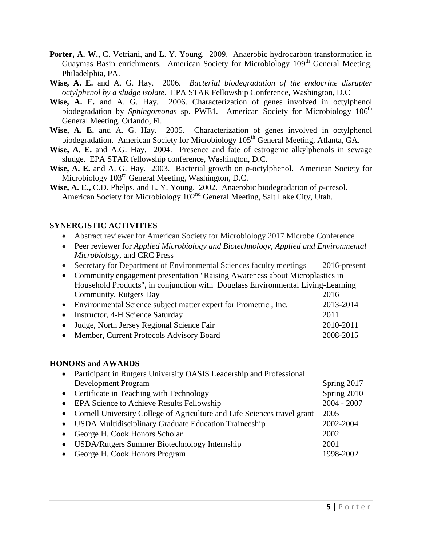- **Porter, A. W.,** C. Vetriani, and L. Y. Young. 2009. Anaerobic hydrocarbon transformation in Guaymas Basin enrichments. American Society for Microbiology 109<sup>th</sup> General Meeting, Philadelphia, PA.
- **Wise, A. E.** and A. G. Hay. 2006*. Bacterial biodegradation of the endocrine disrupter octylphenol by a sludge isolate.* EPA STAR Fellowship Conference, Washington, D.C
- **Wise, A. E.** and A. G. Hay. 2006. Characterization of genes involved in octylphenol biodegradation by *Sphingomonas* sp. PWE1. American Society for Microbiology 106<sup>th</sup> General Meeting, Orlando, Fl.
- **Wise, A. E.** and A. G. Hay. 2005. Characterization of genes involved in octylphenol biodegradation. American Society for Microbiology 105<sup>th</sup> General Meeting, Atlanta, GA.
- **Wise, A. E.** and A.G. Hay. 2004. Presence and fate of estrogenic alkylphenols in sewage sludge. EPA STAR fellowship conference, Washington, D.C.
- **Wise, A. E.** and A. G. Hay. 2003. Bacterial growth on *p-*octylphenol. American Society for Microbiology 103<sup>rd</sup> General Meeting, Washington, D.C.
- **Wise, A. E.,** C.D. Phelps, and L. Y. Young. 2002. Anaerobic biodegradation of *p-*cresol. American Society for Microbiology  $102<sup>nd</sup>$  General Meeting, Salt Lake City, Utah.

#### **SYNERGISTIC ACTIVITIES**

- Abstract reviewer for American Society for Microbiology 2017 Microbe Conference
- Peer reviewer for *Applied Microbiology and Biotechnology, Applied and Environmental Microbiology,* and CRC Press
- Secretary for Department of Environmental Sciences faculty meetings 2016-present
- Community engagement presentation "Raising Awareness about Microplastics in Household Products", in conjunction with Douglass Environmental Living-Learning Community, Rutgers Day 2016
- Environmental Science subject matter expert for Prometric, Inc. 2013-2014 • Instructor, 4-H Science Saturday 2011 Judge, North Jersey Regional Science Fair 2010-2011 • Member, Current Protocols Advisory Board 2008-2015

#### **HONORS and AWARDS**

| $\bullet$ | Participant in Rutgers University OASIS Leadership and Professional        |               |
|-----------|----------------------------------------------------------------------------|---------------|
|           | <b>Development Program</b>                                                 | Spring 2017   |
|           | • Certificate in Teaching with Technology                                  | Spring 2010   |
|           | • EPA Science to Achieve Results Fellowship                                | $2004 - 2007$ |
|           | • Cornell University College of Agriculture and Life Sciences travel grant | 2005          |
|           | • USDA Multidisciplinary Graduate Education Traineeship                    | 2002-2004     |
| $\bullet$ | George H. Cook Honors Scholar                                              | 2002          |
| $\bullet$ | USDA/Rutgers Summer Biotechnology Internship                               | 2001          |
| $\bullet$ | George H. Cook Honors Program                                              | 1998-2002     |